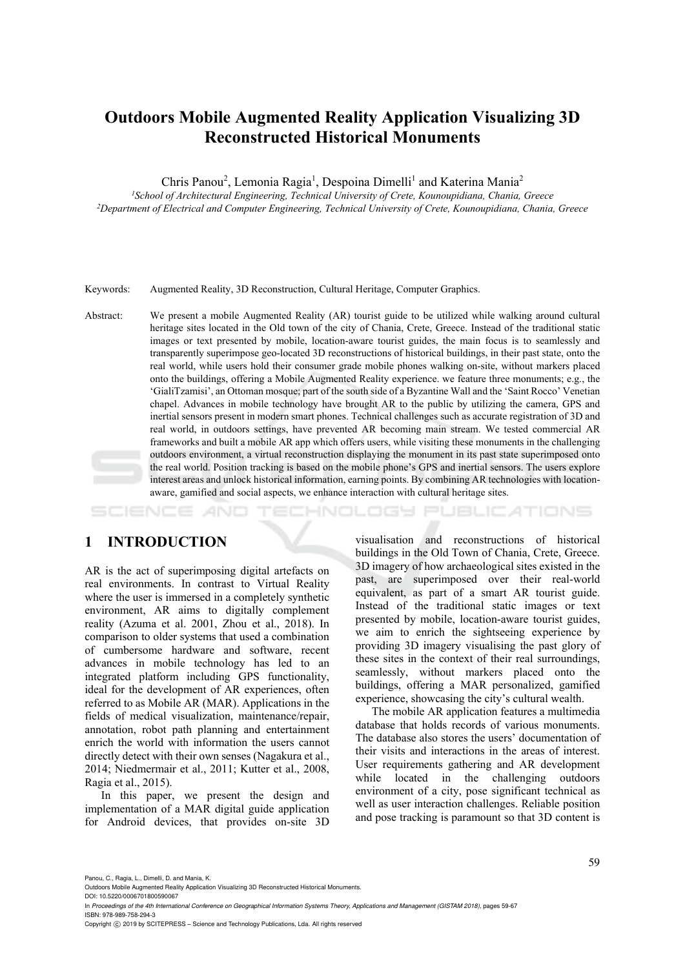# **Outdoors Mobile Augmented Reality Application Visualizing 3D Reconstructed Historical Monuments**

Chris Panou<sup>2</sup>, Lemonia Ragia<sup>1</sup>, Despoina Dimelli<sup>1</sup> and Katerina Mania<sup>2</sup>

<sup>1</sup> School of Architectural Engineering, Technical University of Crete, Kounoupidiana, Chania, Greece *Department of Electrical and Computer Engineering, Technical University of Crete, Kounoupidiana, Chania, Greece* 

Keywords: Augmented Reality, 3D Reconstruction, Cultural Heritage, Computer Graphics.

Abstract: We present a mobile Augmented Reality (AR) tourist guide to be utilized while walking around cultural heritage sites located in the Old town of the city of Chania, Crete, Greece. Instead of the traditional static images or text presented by mobile, location-aware tourist guides, the main focus is to seamlessly and transparently superimpose geo-located 3D reconstructions of historical buildings, in their past state, onto the real world, while users hold their consumer grade mobile phones walking on-site, without markers placed onto the buildings, offering a Mobile Augmented Reality experience. we feature three monuments; e.g., the 'GialiTzamisi', an Ottoman mosque; part of the south side of a Byzantine Wall and the 'Saint Rocco' Venetian chapel. Advances in mobile technology have brought AR to the public by utilizing the camera, GPS and inertial sensors present in modern smart phones. Technical challenges such as accurate registration of 3D and real world, in outdoors settings, have prevented AR becoming main stream. We tested commercial AR frameworks and built a mobile AR app which offers users, while visiting these monuments in the challenging outdoors environment, a virtual reconstruction displaying the monument in its past state superimposed onto the real world. Position tracking is based on the mobile phone's GPS and inertial sensors. The users explore interest areas and unlock historical information, earning points. By combining AR technologies with locationaware, gamified and social aspects, we enhance interaction with cultural heritage sites.

-INOLOGY **JBLIC ATIONS** 

# **1 INTRODUCTION**

AR is the act of superimposing digital artefacts on real environments. In contrast to Virtual Reality where the user is immersed in a completely synthetic environment, AR aims to digitally complement reality (Azuma et al. 2001, Zhou et al., 2018). In comparison to older systems that used a combination of cumbersome hardware and software, recent advances in mobile technology has led to an integrated platform including GPS functionality, ideal for the development of AR experiences, often referred to as Mobile AR (MAR). Applications in the fields of medical visualization, maintenance/repair, annotation, robot path planning and entertainment enrich the world with information the users cannot directly detect with their own senses (Nagakura et al., 2014; Niedmermair et al., 2011; Kutter et al., 2008, Ragia et al., 2015).

In this paper, we present the design and implementation of a MAR digital guide application for Android devices, that provides on-site 3D

visualisation and reconstructions of historical buildings in the Old Town of Chania, Crete, Greece. 3D imagery of how archaeological sites existed in the past, are superimposed over their real-world equivalent, as part of a smart AR tourist guide. Instead of the traditional static images or text presented by mobile, location-aware tourist guides, we aim to enrich the sightseeing experience by providing 3D imagery visualising the past glory of these sites in the context of their real surroundings, seamlessly, without markers placed onto the buildings, offering a MAR personalized, gamified experience, showcasing the city's cultural wealth.

The mobile AR application features a multimedia database that holds records of various monuments. The database also stores the users' documentation of their visits and interactions in the areas of interest. User requirements gathering and AR development while located in the challenging outdoors environment of a city, pose significant technical as well as user interaction challenges. Reliable position and pose tracking is paramount so that 3D content is

Panou, C., Ragia, L., Dimelli, D. and Mania, K.

DOI: 10.5220/0006701800590067

Outdoors Mobile Augmented Reality Application Visualizing 3D Reconstructed Historical Monuments.

In *Proceedings of the 4th International Conference on Geographical Information Systems Theory, Applications and Management (GISTAM 2018)*, pages 59-67 ISBN: 978-989-758-294-3

Copyright (C) 2019 by SCITEPRESS - Science and Technology Publications, Lda. All rights reserved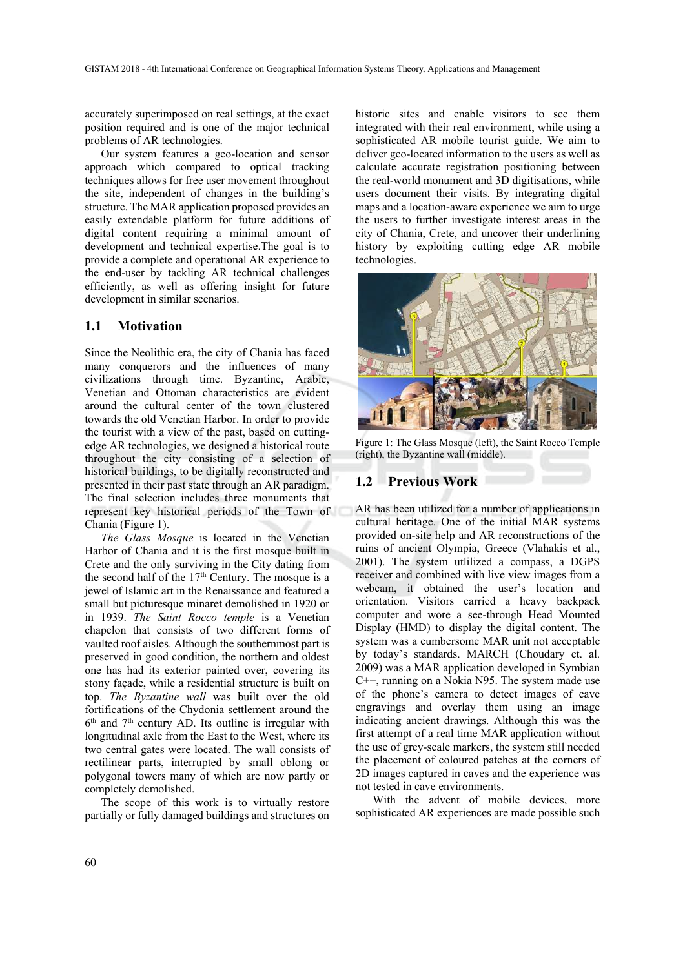accurately superimposed on real settings, at the exact position required and is one of the major technical problems of AR technologies.

Our system features a geo-location and sensor approach which compared to optical tracking techniques allows for free user movement throughout the site, independent of changes in the building's structure. The MAR application proposed provides an easily extendable platform for future additions of digital content requiring a minimal amount of development and technical expertise.The goal is to provide a complete and operational AR experience to the end-user by tackling AR technical challenges efficiently, as well as offering insight for future development in similar scenarios.

#### **1.1 Motivation**

Since the Neolithic era, the city of Chania has faced many conquerors and the influences of many civilizations through time. Byzantine, Arabic, Venetian and Ottoman characteristics are evident around the cultural center of the town clustered towards the old Venetian Harbor. In order to provide the tourist with a view of the past, based on cuttingedge AR technologies, we designed a historical route throughout the city consisting of a selection of historical buildings, to be digitally reconstructed and presented in their past state through an AR paradigm. The final selection includes three monuments that represent key historical periods of the Town of Chania (Figure 1).

*The Glass Mosque* is located in the Venetian Harbor of Chania and it is the first mosque built in Crete and the only surviving in the City dating from the second half of the  $17<sup>th</sup>$  Century. The mosque is a jewel of Islamic art in the Renaissance and featured a small but picturesque minaret demolished in 1920 or in 1939. *The Saint Rocco temple* is a Venetian chapelon that consists of two different forms of vaulted roof aisles. Although the southernmost part is preserved in good condition, the northern and oldest one has had its exterior painted over, covering its stony façade, while a residential structure is built on top. *The Byzantine wall* was built over the old fortifications of the Chydonia settlement around the  $6<sup>th</sup>$  and  $7<sup>th</sup>$  century AD. Its outline is irregular with longitudinal axle from the East to the West, where its two central gates were located. The wall consists of rectilinear parts, interrupted by small oblong or polygonal towers many of which are now partly or completely demolished.

The scope of this work is to virtually restore partially or fully damaged buildings and structures on

historic sites and enable visitors to see them integrated with their real environment, while using a sophisticated AR mobile tourist guide. We aim to deliver geo-located information to the users as well as calculate accurate registration positioning between the real-world monument and 3D digitisations, while users document their visits. By integrating digital maps and a location-aware experience we aim to urge the users to further investigate interest areas in the city of Chania, Crete, and uncover their underlining history by exploiting cutting edge AR mobile technologies.



Figure 1: The Glass Mosque (left), the Saint Rocco Temple (right), the Byzantine wall (middle).

#### **1.2 Previous Work**

AR has been utilized for a number of applications in cultural heritage. One of the initial MAR systems provided on-site help and AR reconstructions of the ruins of ancient Olympia, Greece (Vlahakis et al., 2001). The system utlilized a compass, a DGPS receiver and combined with live view images from a webcam, it obtained the user's location and orientation. Visitors carried a heavy backpack computer and wore a see-through Head Mounted Display (HMD) to display the digital content. The system was a cumbersome MAR unit not acceptable by today's standards. MARCH (Choudary et. al. 2009) was a MAR application developed in Symbian C++, running on a Nokia N95. The system made use of the phone's camera to detect images of cave engravings and overlay them using an image indicating ancient drawings. Although this was the first attempt of a real time MAR application without the use of grey-scale markers, the system still needed the placement of coloured patches at the corners of 2D images captured in caves and the experience was not tested in cave environments.

With the advent of mobile devices, more sophisticated AR experiences are made possible such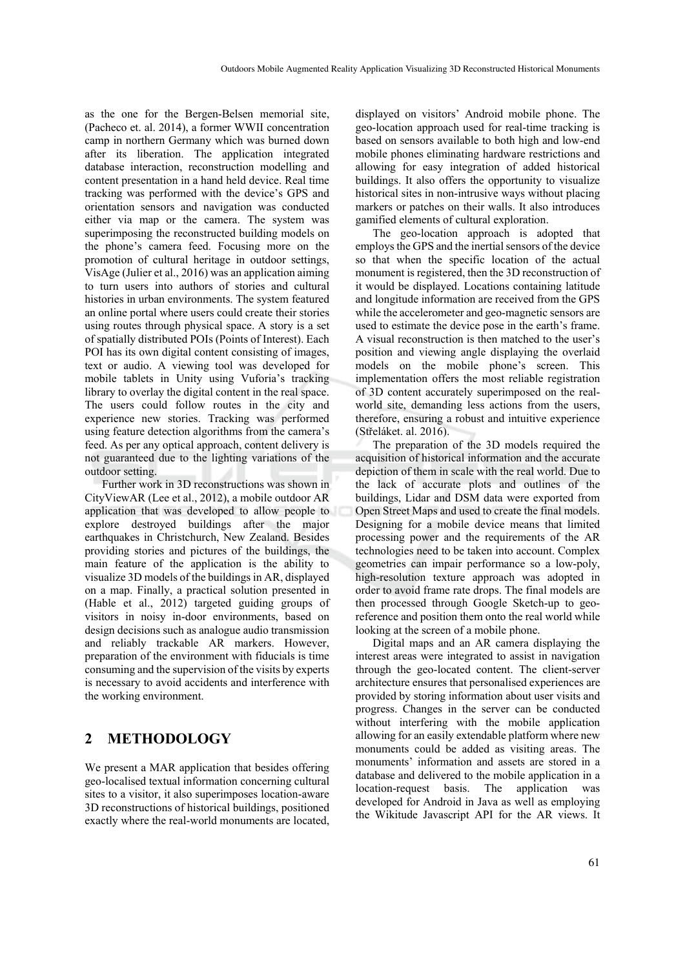as the one for the Bergen-Belsen memorial site, (Pacheco et. al. 2014), a former WWII concentration camp in northern Germany which was burned down after its liberation. The application integrated database interaction, reconstruction modelling and content presentation in a hand held device. Real time tracking was performed with the device's GPS and orientation sensors and navigation was conducted either via map or the camera. The system was superimposing the reconstructed building models on the phone's camera feed. Focusing more on the promotion of cultural heritage in outdoor settings, VisAge (Julier et al., 2016) was an application aiming to turn users into authors of stories and cultural histories in urban environments. The system featured an online portal where users could create their stories using routes through physical space. A story is a set of spatially distributed POIs (Points of Interest). Each POI has its own digital content consisting of images, text or audio. A viewing tool was developed for mobile tablets in Unity using Vuforia's tracking library to overlay the digital content in the real space. The users could follow routes in the city and experience new stories. Tracking was performed using feature detection algorithms from the camera's feed. As per any optical approach, content delivery is not guaranteed due to the lighting variations of the outdoor setting.

Further work in 3D reconstructions was shown in CityViewAR (Lee et al., 2012), a mobile outdoor AR application that was developed to allow people to explore destroyed buildings after the major earthquakes in Christchurch, New Zealand. Besides providing stories and pictures of the buildings, the main feature of the application is the ability to visualize 3D models of the buildings in AR, displayed on a map. Finally, a practical solution presented in (Hable et al., 2012) targeted guiding groups of visitors in noisy in-door environments, based on design decisions such as analogue audio transmission and reliably trackable AR markers. However, preparation of the environment with fiducials is time consuming and the supervision of the visits by experts is necessary to avoid accidents and interference with the working environment.

# **2 METHODOLOGY**

We present a MAR application that besides offering geo-localised textual information concerning cultural sites to a visitor, it also superimposes location-aware 3D reconstructions of historical buildings, positioned exactly where the real-world monuments are located,

displayed on visitors' Android mobile phone. The geo-location approach used for real-time tracking is based on sensors available to both high and low-end mobile phones eliminating hardware restrictions and allowing for easy integration of added historical buildings. It also offers the opportunity to visualize historical sites in non-intrusive ways without placing markers or patches on their walls. It also introduces gamified elements of cultural exploration.

The geo-location approach is adopted that employs the GPS and the inertial sensors of the device so that when the specific location of the actual monument is registered, then the 3D reconstruction of it would be displayed. Locations containing latitude and longitude information are received from the GPS while the accelerometer and geo-magnetic sensors are used to estimate the device pose in the earth's frame. A visual reconstruction is then matched to the user's position and viewing angle displaying the overlaid models on the mobile phone's screen. This implementation offers the most reliable registration of 3D content accurately superimposed on the realworld site, demanding less actions from the users, therefore, ensuring a robust and intuitive experience (Střeláket. al. 2016).

The preparation of the 3D models required the acquisition of historical information and the accurate depiction of them in scale with the real world. Due to the lack of accurate plots and outlines of the buildings, Lidar and DSM data were exported from Open Street Maps and used to create the final models. Designing for a mobile device means that limited processing power and the requirements of the AR technologies need to be taken into account. Complex geometries can impair performance so a low-poly, high-resolution texture approach was adopted in order to avoid frame rate drops. The final models are then processed through Google Sketch-up to georeference and position them onto the real world while looking at the screen of a mobile phone.

Digital maps and an AR camera displaying the interest areas were integrated to assist in navigation through the geo-located content. The client-server architecture ensures that personalised experiences are provided by storing information about user visits and progress. Changes in the server can be conducted without interfering with the mobile application allowing for an easily extendable platform where new monuments could be added as visiting areas. The monuments' information and assets are stored in a database and delivered to the mobile application in a location-request basis. The application was developed for Android in Java as well as employing the Wikitude Javascript API for the AR views. It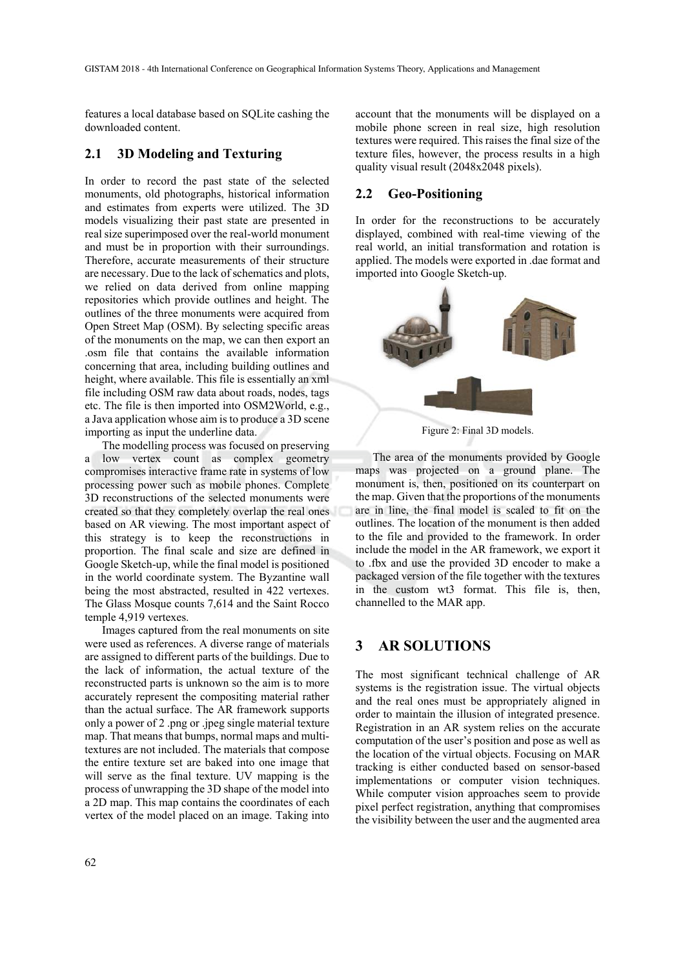features a local database based on SQLite cashing the downloaded content.

#### **2.1 3D Modeling and Texturing**

In order to record the past state of the selected monuments, old photographs, historical information and estimates from experts were utilized. The 3D models visualizing their past state are presented in real size superimposed over the real-world monument and must be in proportion with their surroundings. Therefore, accurate measurements of their structure are necessary. Due to the lack of schematics and plots, we relied on data derived from online mapping repositories which provide outlines and height. The outlines of the three monuments were acquired from Open Street Map (OSM). By selecting specific areas of the monuments on the map, we can then export an .osm file that contains the available information concerning that area, including building outlines and height, where available. This file is essentially an xml file including OSM raw data about roads, nodes, tags etc. The file is then imported into OSM2World, e.g., a Java application whose aim is to produce a 3D scene importing as input the underline data.

The modelling process was focused on preserving a low vertex count as complex geometry compromises interactive frame rate in systems of low processing power such as mobile phones. Complete 3D reconstructions of the selected monuments were created so that they completely overlap the real ones based on AR viewing. The most important aspect of this strategy is to keep the reconstructions in proportion. The final scale and size are defined in Google Sketch-up, while the final model is positioned in the world coordinate system. The Byzantine wall being the most abstracted, resulted in 422 vertexes. The Glass Mosque counts 7,614 and the Saint Rocco temple 4,919 vertexes.

Images captured from the real monuments on site were used as references. A diverse range of materials are assigned to different parts of the buildings. Due to the lack of information, the actual texture of the reconstructed parts is unknown so the aim is to more accurately represent the compositing material rather than the actual surface. The AR framework supports only a power of 2 .png or .jpeg single material texture map. That means that bumps, normal maps and multitextures are not included. The materials that compose the entire texture set are baked into one image that will serve as the final texture. UV mapping is the process of unwrapping the 3D shape of the model into a 2D map. This map contains the coordinates of each vertex of the model placed on an image. Taking into

account that the monuments will be displayed on a mobile phone screen in real size, high resolution textures were required. This raises the final size of the texture files, however, the process results in a high quality visual result (2048x2048 pixels).

#### **2.2 Geo-Positioning**

In order for the reconstructions to be accurately displayed, combined with real-time viewing of the real world, an initial transformation and rotation is applied. The models were exported in .dae format and imported into Google Sketch-up.



Figure 2: Final 3D models.

The area of the monuments provided by Google maps was projected on a ground plane. The monument is, then, positioned on its counterpart on the map. Given that the proportions of the monuments are in line, the final model is scaled to fit on the outlines. The location of the monument is then added to the file and provided to the framework. In order include the model in the AR framework, we export it to .fbx and use the provided 3D encoder to make a packaged version of the file together with the textures in the custom wt3 format. This file is, then, channelled to the MAR app.

#### **3 AR SOLUTIONS**

The most significant technical challenge of AR systems is the registration issue. The virtual objects and the real ones must be appropriately aligned in order to maintain the illusion of integrated presence. Registration in an AR system relies on the accurate computation of the user's position and pose as well as the location of the virtual objects. Focusing on MAR tracking is either conducted based on sensor-based implementations or computer vision techniques. While computer vision approaches seem to provide pixel perfect registration, anything that compromises the visibility between the user and the augmented area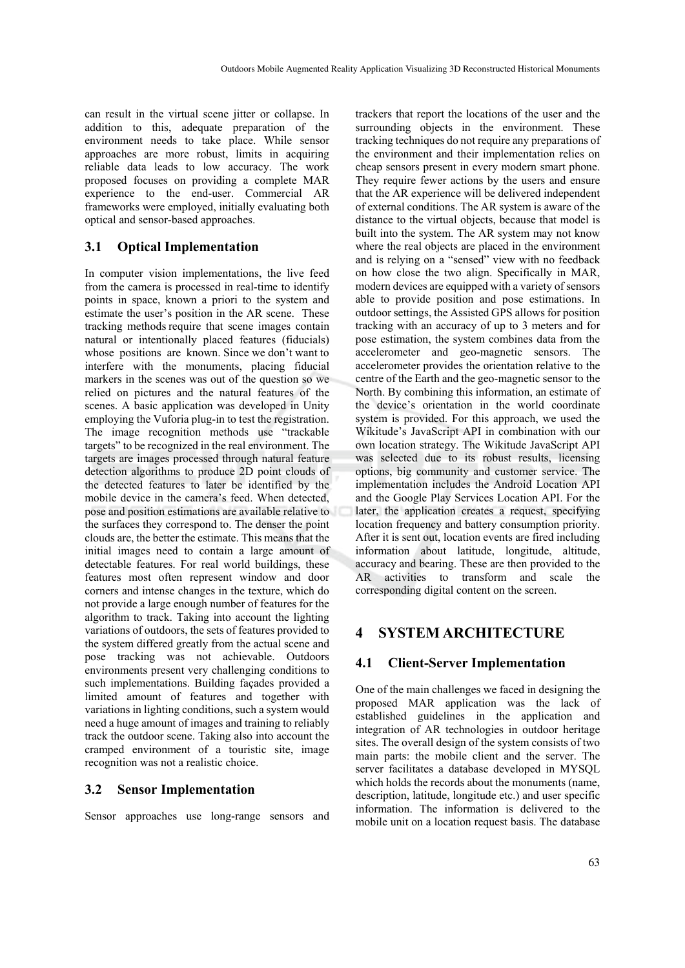can result in the virtual scene jitter or collapse. In addition to this, adequate preparation of the environment needs to take place. While sensor approaches are more robust, limits in acquiring reliable data leads to low accuracy. The work proposed focuses on providing a complete MAR experience to the end-user. Commercial AR frameworks were employed, initially evaluating both optical and sensor-based approaches.

### **3.1 Optical Implementation**

In computer vision implementations, the live feed from the camera is processed in real-time to identify points in space, known a priori to the system and estimate the user's position in the AR scene. These tracking methods require that scene images contain natural or intentionally placed features (fiducials) whose positions are known. Since we don't want to interfere with the monuments, placing fiducial markers in the scenes was out of the question so we relied on pictures and the natural features of the scenes. A basic application was developed in Unity employing the Vuforia plug-in to test the registration. The image recognition methods use "trackable targets" to be recognized in the real environment. The targets are images processed through natural feature detection algorithms to produce 2D point clouds of the detected features to later be identified by the mobile device in the camera's feed. When detected, pose and position estimations are available relative to the surfaces they correspond to. The denser the point clouds are, the better the estimate. This means that the initial images need to contain a large amount of detectable features. For real world buildings, these features most often represent window and door corners and intense changes in the texture, which do not provide a large enough number of features for the algorithm to track. Taking into account the lighting variations of outdoors, the sets of features provided to the system differed greatly from the actual scene and pose tracking was not achievable. Outdoors environments present very challenging conditions to such implementations. Building façades provided a limited amount of features and together with variations in lighting conditions, such a system would need a huge amount of images and training to reliably track the outdoor scene. Taking also into account the cramped environment of a touristic site, image recognition was not a realistic choice.

### **3.2 Sensor Implementation**

Sensor approaches use long-range sensors and

trackers that report the locations of the user and the surrounding objects in the environment. These tracking techniques do not require any preparations of the environment and their implementation relies on cheap sensors present in every modern smart phone. They require fewer actions by the users and ensure that the AR experience will be delivered independent of external conditions. The AR system is aware of the distance to the virtual objects, because that model is built into the system. The AR system may not know where the real objects are placed in the environment and is relying on a "sensed" view with no feedback on how close the two align. Specifically in MAR, modern devices are equipped with a variety of sensors able to provide position and pose estimations. In outdoor settings, the Assisted GPS allows for position tracking with an accuracy of up to 3 meters and for pose estimation, the system combines data from the accelerometer and geo-magnetic sensors. The accelerometer provides the orientation relative to the centre of the Earth and the geo-magnetic sensor to the North. By combining this information, an estimate of the device's orientation in the world coordinate system is provided. For this approach, we used the Wikitude's JavaScript API in combination with our own location strategy. The Wikitude JavaScript API was selected due to its robust results, licensing options, big community and customer service. The implementation includes the Android Location API and the Google Play Services Location API. For the later, the application creates a request, specifying location frequency and battery consumption priority. After it is sent out, location events are fired including information about latitude, longitude, altitude, accuracy and bearing. These are then provided to the AR activities to transform and scale the corresponding digital content on the screen.

# **4 SYSTEM ARCHITECTURE**

#### **4.1 Client-Server Implementation**

One of the main challenges we faced in designing the proposed MAR application was the lack of established guidelines in the application and integration of AR technologies in outdoor heritage sites. The overall design of the system consists of two main parts: the mobile client and the server. The server facilitates a database developed in MYSQL which holds the records about the monuments (name, description, latitude, longitude etc.) and user specific information. The information is delivered to the mobile unit on a location request basis. The database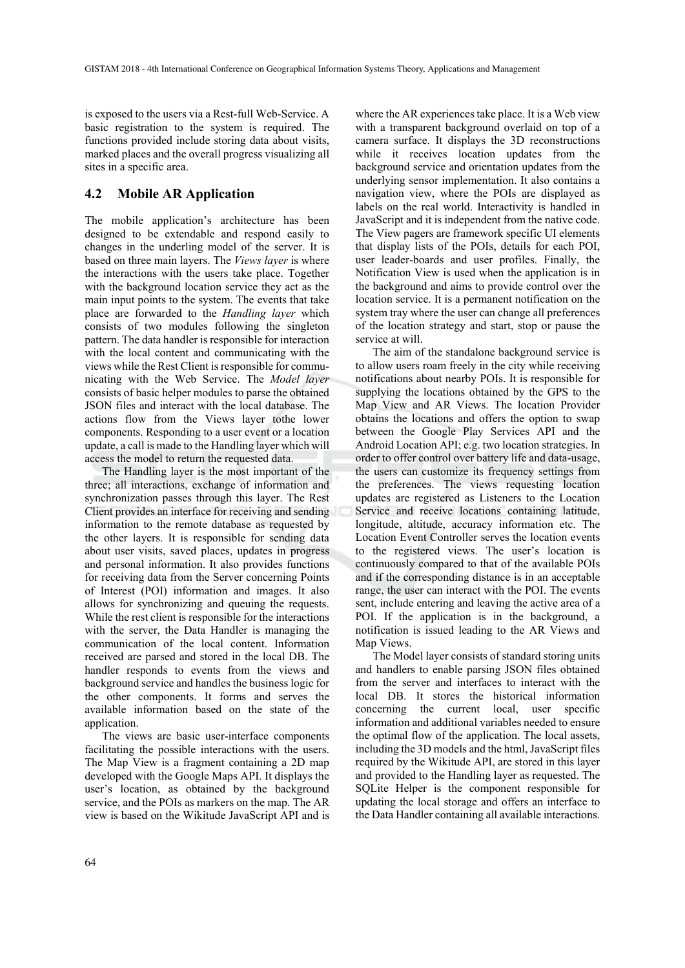is exposed to the users via a Rest-full Web-Service. A basic registration to the system is required. The functions provided include storing data about visits, marked places and the overall progress visualizing all sites in a specific area.

### **4.2 Mobile AR Application**

The mobile application's architecture has been designed to be extendable and respond easily to changes in the underling model of the server. It is based on three main layers. The *Views layer* is where the interactions with the users take place. Together with the background location service they act as the main input points to the system. The events that take place are forwarded to the *Handling layer* which consists of two modules following the singleton pattern. The data handler is responsible for interaction with the local content and communicating with the views while the Rest Client is responsible for communicating with the Web Service. The *Model layer* consists of basic helper modules to parse the obtained JSON files and interact with the local database. The actions flow from the Views layer tothe lower components. Responding to a user event or a location update, a call is made to the Handling layer which will access the model to return the requested data.

The Handling layer is the most important of the three; all interactions, exchange of information and synchronization passes through this layer. The Rest Client provides an interface for receiving and sending information to the remote database as requested by the other layers. It is responsible for sending data about user visits, saved places, updates in progress and personal information. It also provides functions for receiving data from the Server concerning Points of Interest (POI) information and images. It also allows for synchronizing and queuing the requests. While the rest client is responsible for the interactions with the server, the Data Handler is managing the communication of the local content. Information received are parsed and stored in the local DB. The handler responds to events from the views and background service and handles the business logic for the other components. It forms and serves the available information based on the state of the application.

The views are basic user-interface components facilitating the possible interactions with the users. The Map View is a fragment containing a 2D map developed with the Google Maps API. It displays the user's location, as obtained by the background service, and the POIs as markers on the map. The AR view is based on the Wikitude JavaScript API and is

where the AR experiences take place. It is a Web view with a transparent background overlaid on top of a camera surface. It displays the 3D reconstructions while it receives location updates from the background service and orientation updates from the underlying sensor implementation. It also contains a navigation view, where the POIs are displayed as labels on the real world. Interactivity is handled in JavaScript and it is independent from the native code. The View pagers are framework specific UI elements that display lists of the POIs, details for each POI, user leader-boards and user profiles. Finally, the Notification View is used when the application is in the background and aims to provide control over the location service. It is a permanent notification on the system tray where the user can change all preferences of the location strategy and start, stop or pause the service at will.

The aim of the standalone background service is to allow users roam freely in the city while receiving notifications about nearby POIs. It is responsible for supplying the locations obtained by the GPS to the Map View and AR Views. The location Provider obtains the locations and offers the option to swap between the Google Play Services API and the Android Location API; e.g. two location strategies. In order to offer control over battery life and data-usage, the users can customize its frequency settings from the preferences. The views requesting location updates are registered as Listeners to the Location Service and receive locations containing latitude, longitude, altitude, accuracy information etc. The Location Event Controller serves the location events to the registered views. The user's location is continuously compared to that of the available POIs and if the corresponding distance is in an acceptable range, the user can interact with the POI. The events sent, include entering and leaving the active area of a POI. If the application is in the background, a notification is issued leading to the AR Views and Map Views.

The Model layer consists of standard storing units and handlers to enable parsing JSON files obtained from the server and interfaces to interact with the local DB. It stores the historical information concerning the current local, user specific information and additional variables needed to ensure the optimal flow of the application. The local assets, including the 3D models and the html, JavaScript files required by the Wikitude API, are stored in this layer and provided to the Handling layer as requested. The SQLite Helper is the component responsible for updating the local storage and offers an interface to the Data Handler containing all available interactions.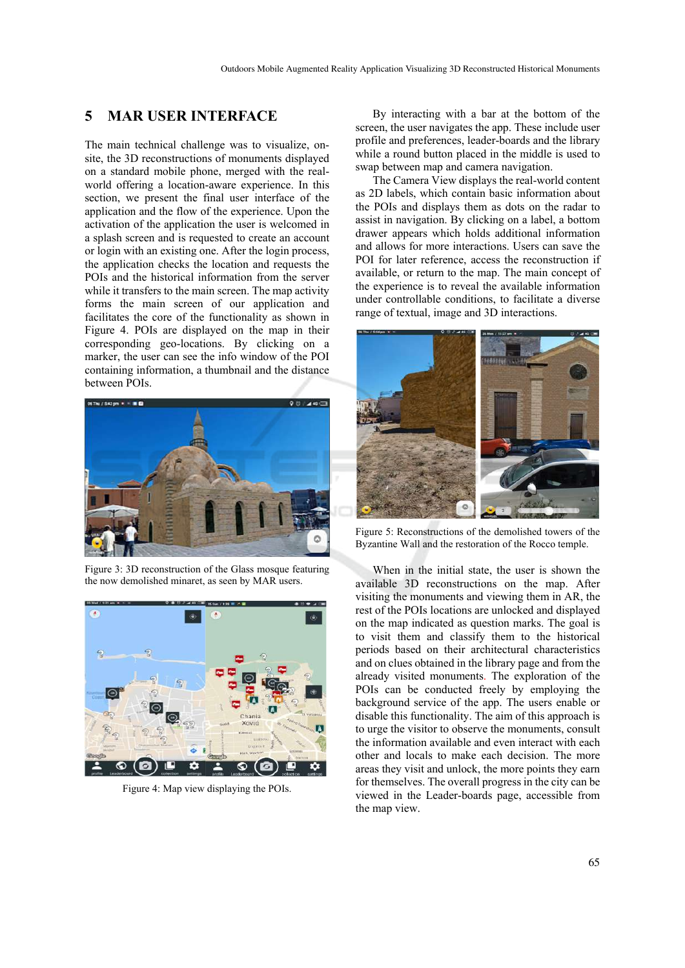### **5 MAR USER INTERFACE**

The main technical challenge was to visualize, onsite, the 3D reconstructions of monuments displayed on a standard mobile phone, merged with the realworld offering a location-aware experience. In this section, we present the final user interface of the application and the flow of the experience. Upon the activation of the application the user is welcomed in a splash screen and is requested to create an account or login with an existing one. After the login process, the application checks the location and requests the POIs and the historical information from the server while it transfers to the main screen. The map activity forms the main screen of our application and facilitates the core of the functionality as shown in Figure 4. POIs are displayed on the map in their corresponding geo-locations. By clicking on a marker, the user can see the info window of the POI containing information, a thumbnail and the distance between POIs.



Figure 3: 3D reconstruction of the Glass mosque featuring the now demolished minaret, as seen by MAR users.



Figure 4: Map view displaying the POIs.

By interacting with a bar at the bottom of the screen, the user navigates the app. These include user profile and preferences, leader-boards and the library while a round button placed in the middle is used to swap between map and camera navigation.

The Camera View displays the real-world content as 2D labels, which contain basic information about the POIs and displays them as dots on the radar to assist in navigation. By clicking on a label, a bottom drawer appears which holds additional information and allows for more interactions. Users can save the POI for later reference, access the reconstruction if available, or return to the map. The main concept of the experience is to reveal the available information under controllable conditions, to facilitate a diverse range of textual, image and 3D interactions.



Figure 5: Reconstructions of the demolished towers of the Byzantine Wall and the restoration of the Rocco temple.

When in the initial state, the user is shown the available 3D reconstructions on the map. After visiting the monuments and viewing them in AR, the rest of the POIs locations are unlocked and displayed on the map indicated as question marks. The goal is to visit them and classify them to the historical periods based on their architectural characteristics and on clues obtained in the library page and from the already visited monuments. The exploration of the POIs can be conducted freely by employing the background service of the app. The users enable or disable this functionality. The aim of this approach is to urge the visitor to observe the monuments, consult the information available and even interact with each other and locals to make each decision. The more areas they visit and unlock, the more points they earn for themselves. The overall progress in the city can be viewed in the Leader-boards page, accessible from the map view.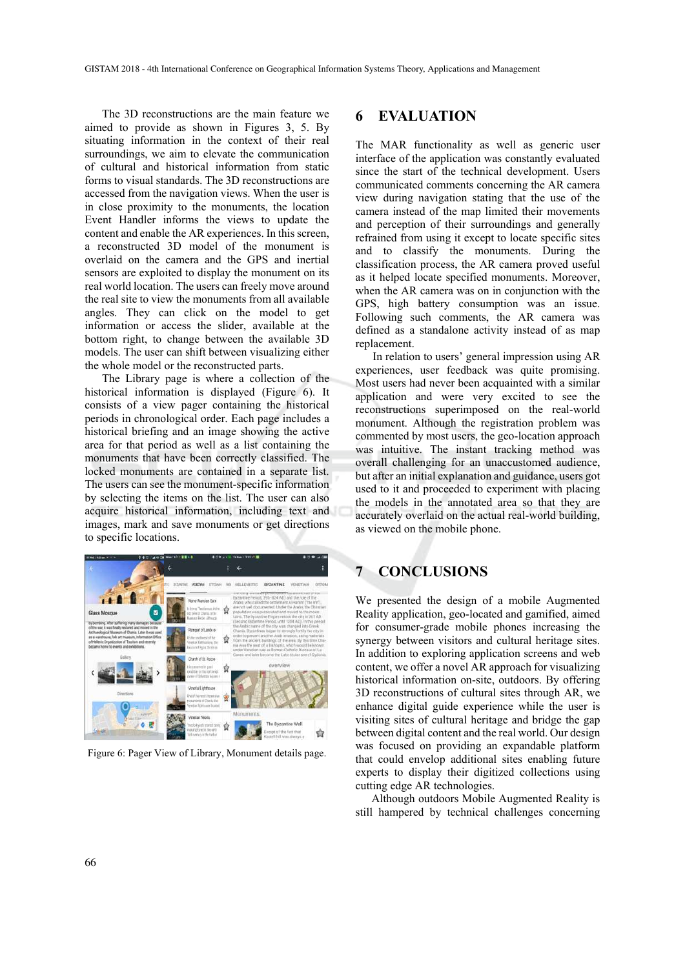The 3D reconstructions are the main feature we aimed to provide as shown in Figures 3, 5. By situating information in the context of their real surroundings, we aim to elevate the communication of cultural and historical information from static forms to visual standards. The 3D reconstructions are accessed from the navigation views. When the user is in close proximity to the monuments, the location Event Handler informs the views to update the content and enable the AR experiences. In this screen, a reconstructed 3D model of the monument is overlaid on the camera and the GPS and inertial sensors are exploited to display the monument on its real world location. The users can freely move around the real site to view the monuments from all available angles. They can click on the model to get information or access the slider, available at the bottom right, to change between the available 3D models. The user can shift between visualizing either the whole model or the reconstructed parts.

The Library page is where a collection of the historical information is displayed (Figure 6). It consists of a view pager containing the historical periods in chronological order. Each page includes a historical briefing and an image showing the active area for that period as well as a list containing the monuments that have been correctly classified. The locked monuments are contained in a separate list. The users can see the monument-specific information by selecting the items on the list. The user can also acquire historical information, including text and images, mark and save monuments or get directions to specific locations.



Figure 6: Pager View of Library, Monument details page.

### **6 EVALUATION**

The MAR functionality as well as generic user interface of the application was constantly evaluated since the start of the technical development. Users communicated comments concerning the AR camera view during navigation stating that the use of the camera instead of the map limited their movements and perception of their surroundings and generally refrained from using it except to locate specific sites and to classify the monuments. During the classification process, the AR camera proved useful as it helped locate specified monuments. Moreover, when the AR camera was on in conjunction with the GPS, high battery consumption was an issue. Following such comments, the AR camera was defined as a standalone activity instead of as map replacement.

In relation to users' general impression using AR experiences, user feedback was quite promising. Most users had never been acquainted with a similar application and were very excited to see the reconstructions superimposed on the real-world monument. Although the registration problem was commented by most users, the geo-location approach was intuitive. The instant tracking method was overall challenging for an unaccustomed audience, but after an initial explanation and guidance, users got used to it and proceeded to experiment with placing the models in the annotated area so that they are accurately overlaid on the actual real-world building, as viewed on the mobile phone.

## **7 CONCLUSIONS**

We presented the design of a mobile Augmented Reality application, geo-located and gamified, aimed for consumer-grade mobile phones increasing the synergy between visitors and cultural heritage sites. In addition to exploring application screens and web content, we offer a novel AR approach for visualizing historical information on-site, outdoors. By offering 3D reconstructions of cultural sites through AR, we enhance digital guide experience while the user is visiting sites of cultural heritage and bridge the gap between digital content and the real world. Our design was focused on providing an expandable platform that could envelop additional sites enabling future experts to display their digitized collections using cutting edge AR technologies.

Although outdoors Mobile Augmented Reality is still hampered by technical challenges concerning